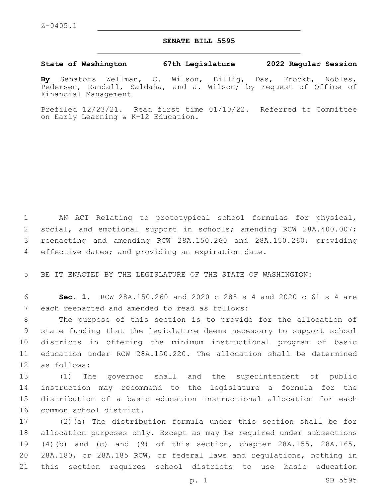## **SENATE BILL 5595**

## **State of Washington 67th Legislature 2022 Regular Session**

**By** Senators Wellman, C. Wilson, Billig, Das, Frockt, Nobles, Pedersen, Randall, Saldaña, and J. Wilson; by request of Office of Financial Management

Prefiled 12/23/21. Read first time 01/10/22. Referred to Committee on Early Learning & K-12 Education.

 AN ACT Relating to prototypical school formulas for physical, social, and emotional support in schools; amending RCW 28A.400.007; reenacting and amending RCW 28A.150.260 and 28A.150.260; providing 4 effective dates; and providing an expiration date.

5 BE IT ENACTED BY THE LEGISLATURE OF THE STATE OF WASHINGTON:

6 **Sec. 1.** RCW 28A.150.260 and 2020 c 288 s 4 and 2020 c 61 s 4 are 7 each reenacted and amended to read as follows:

 The purpose of this section is to provide for the allocation of state funding that the legislature deems necessary to support school districts in offering the minimum instructional program of basic education under RCW 28A.150.220. The allocation shall be determined 12 as follows:

 (1) The governor shall and the superintendent of public instruction may recommend to the legislature a formula for the distribution of a basic education instructional allocation for each 16 common school district.

 (2)(a) The distribution formula under this section shall be for allocation purposes only. Except as may be required under subsections (4)(b) and (c) and (9) of this section, chapter 28A.155, 28A.165, 28A.180, or 28A.185 RCW, or federal laws and regulations, nothing in this section requires school districts to use basic education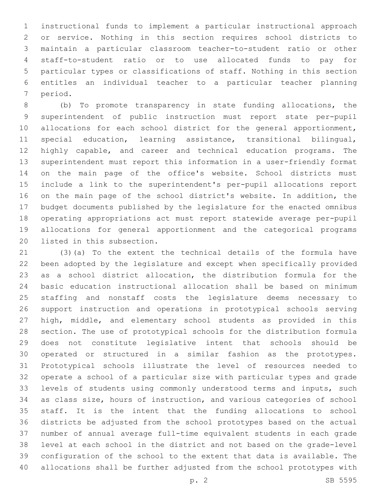instructional funds to implement a particular instructional approach or service. Nothing in this section requires school districts to maintain a particular classroom teacher-to-student ratio or other staff-to-student ratio or to use allocated funds to pay for particular types or classifications of staff. Nothing in this section entitles an individual teacher to a particular teacher planning 7 period.

 (b) To promote transparency in state funding allocations, the superintendent of public instruction must report state per-pupil 10 allocations for each school district for the general apportionment, special education, learning assistance, transitional bilingual, highly capable, and career and technical education programs. The superintendent must report this information in a user-friendly format on the main page of the office's website. School districts must include a link to the superintendent's per-pupil allocations report on the main page of the school district's website. In addition, the budget documents published by the legislature for the enacted omnibus operating appropriations act must report statewide average per-pupil allocations for general apportionment and the categorical programs 20 listed in this subsection.

 (3)(a) To the extent the technical details of the formula have been adopted by the legislature and except when specifically provided as a school district allocation, the distribution formula for the basic education instructional allocation shall be based on minimum staffing and nonstaff costs the legislature deems necessary to support instruction and operations in prototypical schools serving high, middle, and elementary school students as provided in this section. The use of prototypical schools for the distribution formula does not constitute legislative intent that schools should be operated or structured in a similar fashion as the prototypes. Prototypical schools illustrate the level of resources needed to operate a school of a particular size with particular types and grade levels of students using commonly understood terms and inputs, such as class size, hours of instruction, and various categories of school staff. It is the intent that the funding allocations to school districts be adjusted from the school prototypes based on the actual number of annual average full-time equivalent students in each grade level at each school in the district and not based on the grade-level configuration of the school to the extent that data is available. The allocations shall be further adjusted from the school prototypes with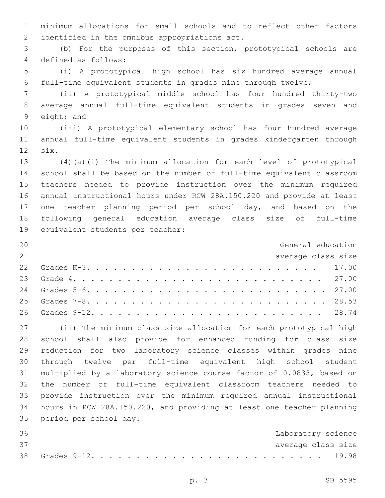minimum allocations for small schools and to reflect other factors 2 identified in the omnibus appropriations act.

 (b) For the purposes of this section, prototypical schools are 4 defined as follows:

 (i) A prototypical high school has six hundred average annual full-time equivalent students in grades nine through twelve;

 (ii) A prototypical middle school has four hundred thirty-two average annual full-time equivalent students in grades seven and 9 eight; and

 (iii) A prototypical elementary school has four hundred average annual full-time equivalent students in grades kindergarten through 12 six.

 (4)(a)(i) The minimum allocation for each level of prototypical school shall be based on the number of full-time equivalent classroom teachers needed to provide instruction over the minimum required annual instructional hours under RCW 28A.150.220 and provide at least 17 one teacher planning period per school day, and based on the following general education average class size of full-time 19 equivalent students per teacher:

| 20 | General education  |  |
|----|--------------------|--|
| 21 | average class size |  |
|    |                    |  |
|    |                    |  |
|    |                    |  |
|    |                    |  |
|    |                    |  |

 (ii) The minimum class size allocation for each prototypical high school shall also provide for enhanced funding for class size reduction for two laboratory science classes within grades nine through twelve per full-time equivalent high school student multiplied by a laboratory science course factor of 0.0833, based on the number of full-time equivalent classroom teachers needed to provide instruction over the minimum required annual instructional hours in RCW 28A.150.220, and providing at least one teacher planning 35 period per school day:

| 36 |  |  |  |  |  |  |  |  |  |  |  |  |  | Laboratory science |
|----|--|--|--|--|--|--|--|--|--|--|--|--|--|--------------------|
| 37 |  |  |  |  |  |  |  |  |  |  |  |  |  | average class size |
|    |  |  |  |  |  |  |  |  |  |  |  |  |  |                    |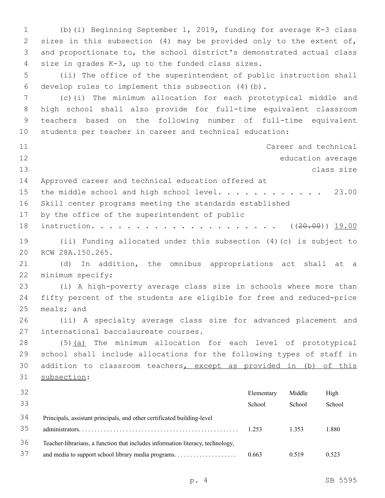(b)(i) Beginning September 1, 2019, funding for average K-3 class sizes in this subsection (4) may be provided only to the extent of, and proportionate to, the school district's demonstrated actual class 4 size in grades K-3, up to the funded class sizes. (ii) The office of the superintendent of public instruction shall 6 develop rules to implement this subsection  $(4)(b)$ . (c)(i) The minimum allocation for each prototypical middle and high school shall also provide for full-time equivalent classroom teachers based on the following number of full-time equivalent students per teacher in career and technical education: Career and technical education average class size Approved career and technical education offered at 15 the middle school and high school level. . . . . . . . . . . 23.00 Skill center programs meeting the standards established 17 by the office of the superintendent of public instruction. . . . . . . . . . . . . . . . . . . . . ((20.00)) 19.00 (ii) Funding allocated under this subsection (4)(c) is subject to 20 RCW 28A.150.265. (d) In addition, the omnibus appropriations act shall at a 22 minimum specify: (i) A high-poverty average class size in schools where more than fifty percent of the students are eligible for free and reduced-price meals; and (ii) A specialty average class size for advanced placement and 27 international baccalaureate courses. (5)(a) The minimum allocation for each level of prototypical school shall include allocations for the following types of staff in addition to classroom teachers, except as provided in (b) of this 31 subsection: Elementary School Middle School High School Principals, assistant principals, and other certificated building-level administrators. . . . . . . . . . . . . . . . . . . . . . . . . . . . . . . . . . . . . . . . . . . . . . . . . . . 1.253 1.353 1.880 Teacher-librarians, a function that includes information literacy, technology, and media to support school library media programs. . . . . . . . . . . . . . . . . . . . 0.663 0.519 0.523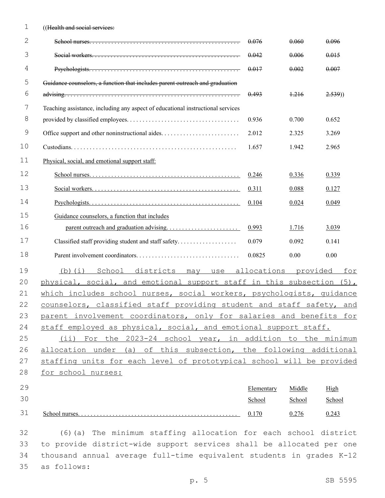| 1           | ((Health and social services:                                                   |             |          |        |
|-------------|---------------------------------------------------------------------------------|-------------|----------|--------|
| 2           |                                                                                 | 0.076       | 0.060    | 0.096  |
| 3           |                                                                                 | 0.042       | 0.006    | 0.015  |
| 4           |                                                                                 | 0.017       | 0.002    | 0.007  |
| 5           | Guidance counselors, a function that includes parent outreach and graduation    |             |          |        |
| 6           |                                                                                 | 0.493       | 1.216    | 2.539) |
| 7           | Teaching assistance, including any aspect of educational instructional services |             |          |        |
| 8           |                                                                                 | 0.936       | 0.700    | 0.652  |
| $\mathsf 9$ |                                                                                 | 2.012       | 2.325    | 3.269  |
| 10          |                                                                                 | 1.657       | 1.942    | 2.965  |
| 11          | Physical, social, and emotional support staff:                                  |             |          |        |
| 12          |                                                                                 | 0.246       | 0.336    | 0.339  |
| 13          |                                                                                 | 0.311       | 0.088    | 0.127  |
| 14          |                                                                                 | 0.104       | 0.024    | 0.049  |
| 15          | Guidance counselors, a function that includes                                   |             |          |        |
| 16          |                                                                                 | 0.993       | 1.716    | 3.039  |
| 17          | Classified staff providing student and staff safety                             | 0.079       | 0.092    | 0.141  |
| 18          |                                                                                 | 0.0825      | 0.00     | 0.00   |
| 19          | School<br>districts<br>(b) (i)<br>may<br>use                                    | allocations | provided | for    |
| 20          | physical, social, and emotional support staff in this subsection (5),           |             |          |        |
| 21          | which includes school nurses, social workers, psychologists, quidance           |             |          |        |
| 22          | counselors, classified staff providing student and staff safety, and            |             |          |        |
| 23          | parent involvement coordinators, only for salaries and benefits for             |             |          |        |
| 24          | staff employed as physical, social, and emotional support staff.                |             |          |        |
| 25          | (ii) For the 2023-24 school year, in addition to the minimum                    |             |          |        |
| 26          | allocation under (a) of this subsection, the following additional               |             |          |        |
| 27          | staffing units for each level of prototypical school will be provided           |             |          |        |
| 28          | for school nurses:                                                              |             |          |        |
| 29          |                                                                                 | Elementary  | Middle   | High   |
| 30          |                                                                                 | School      | School   | School |
| 31          |                                                                                 | 0.170       | 0.276    | 0.243  |

 (6)(a) The minimum staffing allocation for each school district to provide district-wide support services shall be allocated per one thousand annual average full-time equivalent students in grades K-12 as follows:35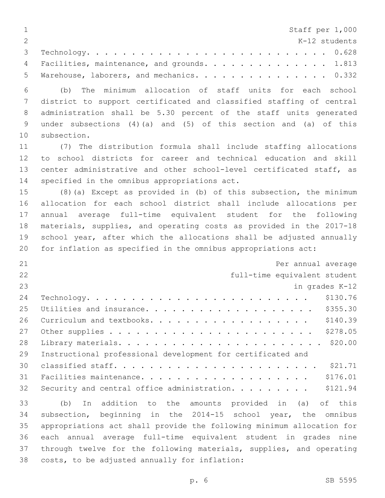| $\mathbf 1$    | Staff per 1,000                                                        |
|----------------|------------------------------------------------------------------------|
| $\overline{2}$ | K-12 students                                                          |
| 3              |                                                                        |
| 4              | Facilities, maintenance, and grounds. 1.813                            |
| 5              | Warehouse, laborers, and mechanics. 0.332                              |
| 6              | minimum allocation of staff units for each school<br>(b)<br>The        |
| 7              | district to support certificated and classified staffing of central    |
| 8              | administration shall be 5.30 percent of the staff units generated      |
| 9              | under subsections $(4)(a)$ and $(5)$ of this section and $(a)$ of this |
| 10             | subsection.                                                            |
| 11             | (7) The distribution formula shall include staffing allocations        |
| 12             | to school districts for career and technical education and skill       |
| 13             | center administrative and other school-level certificated staff, as    |
| 14             | specified in the omnibus appropriations act.                           |
| 15             | $(8)$ (a) Except as provided in (b) of this subsection, the minimum    |
| 16             | allocation for each school district shall include allocations per      |
| 17             | annual average full-time equivalent student for the following          |
| 18             | materials, supplies, and operating costs as provided in the 2017-18    |
| 19             | school year, after which the allocations shall be adjusted annually    |
| 20             | for inflation as specified in the omnibus appropriations act:          |
| 21             | Per annual average                                                     |
| 22             | full-time equivalent student                                           |
| 23             | in grades K-12                                                         |
| 24             | \$130.76<br>Technology.                                                |
| 25             | \$355.30<br>Utilities and insurance.                                   |
| 26             | \$140.39<br>Curriculum and textbooks.                                  |
| 27             | \$278.05                                                               |
| 28             | \$20.00                                                                |
| 29             | Instructional professional development for certificated and            |
| 30             |                                                                        |
| 31             | \$176.01                                                               |
| 32             | \$121.94<br>Security and central office administration.                |
| 33             | addition to the amounts provided in (a)<br>(b)<br>of this<br>In        |
| 34             | subsection, beginning in the 2014-15 school year, the omnibus          |
| 35             | appropriations act shall provide the following minimum allocation for  |
| 36             | each annual average full-time equivalent student in grades nine        |
| 37             |                                                                        |
| 38             | through twelve for the following materials, supplies, and operating    |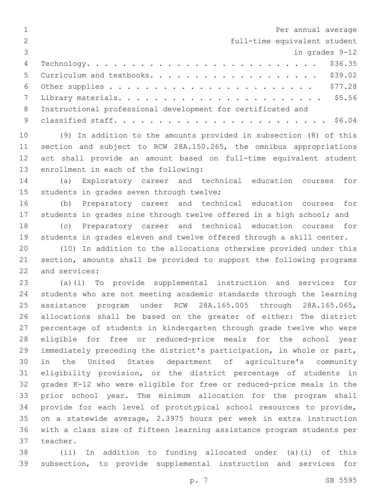| $\mathbf 1$    | Per annual average                                                    |
|----------------|-----------------------------------------------------------------------|
| $\overline{2}$ | full-time equivalent student                                          |
| 3              | in grades 9-12                                                        |
| 4              | \$36.35                                                               |
| 5              | \$39.02<br>Curriculum and textbooks.                                  |
| 6              | \$77.28                                                               |
| 7              |                                                                       |
| 8              | Instructional professional development for certificated and           |
| 9              |                                                                       |
| 10             | (9) In addition to the amounts provided in subsection (8) of this     |
| 11             | section and subject to RCW 28A.150.265, the omnibus appropriations    |
| 12             | act shall provide an amount based on full-time equivalent student     |
| 13             | enrollment in each of the following:                                  |
| 14             | Exploratory career and technical education courses<br>(a)<br>for      |
| 15             | students in grades seven through twelve;                              |
| 16             | Preparatory career and technical education courses for<br>(b)         |
| 17             | students in grades nine through twelve offered in a high school; and  |
| 18             | Preparatory career and technical education courses for<br>(C)         |
| 19             | students in grades eleven and twelve offered through a skill center.  |
| 20             | In addition to the allocations otherwise provided under this<br>(10)  |
| 21             | section, amounts shall be provided to support the following programs  |
| 22             | and services:                                                         |
| 23             | (a)(i) To provide supplemental instruction and services for           |
| 24             | students who are not meeting academic standards through the learning  |
| 25             | assistance program under RCW 28A.165.005 through 28A.165.065,         |
| 26             | allocations shall be based on the greater of either: The district     |
| 27             | percentage of students in kindergarten through grade twelve who were  |
| 28             | eligible for free or reduced-price meals for the school year          |
| 29             | immediately preceding the district's participation, in whole or part, |
| 30             | United States department of agriculture's community<br>in the         |
| 31             | eligibility provision, or the district percentage of students in      |
| 32             | grades K-12 who were eligible for free or reduced-price meals in the  |
| 33             | prior school year. The minimum allocation for the program shall       |
| 34             | provide for each level of prototypical school resources to provide,   |
| 35             | on a statewide average, 2.3975 hours per week in extra instruction    |
| 36             | with a class size of fifteen learning assistance program students per |
| 37             | teacher.                                                              |
| 38             | (ii) In addition to funding allocated under (a)(i) of this            |

 (ii) In addition to funding allocated under (a)(i) of this subsection, to provide supplemental instruction and services for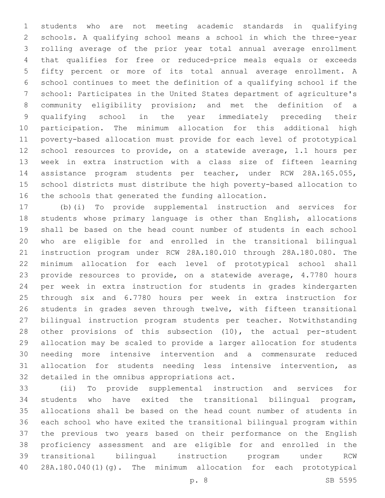students who are not meeting academic standards in qualifying schools. A qualifying school means a school in which the three-year rolling average of the prior year total annual average enrollment that qualifies for free or reduced-price meals equals or exceeds fifty percent or more of its total annual average enrollment. A school continues to meet the definition of a qualifying school if the school: Participates in the United States department of agriculture's community eligibility provision; and met the definition of a qualifying school in the year immediately preceding their participation. The minimum allocation for this additional high poverty-based allocation must provide for each level of prototypical school resources to provide, on a statewide average, 1.1 hours per week in extra instruction with a class size of fifteen learning assistance program students per teacher, under RCW 28A.165.055, school districts must distribute the high poverty-based allocation to the schools that generated the funding allocation.

 (b)(i) To provide supplemental instruction and services for students whose primary language is other than English, allocations shall be based on the head count number of students in each school who are eligible for and enrolled in the transitional bilingual instruction program under RCW 28A.180.010 through 28A.180.080. The minimum allocation for each level of prototypical school shall provide resources to provide, on a statewide average, 4.7780 hours per week in extra instruction for students in grades kindergarten through six and 6.7780 hours per week in extra instruction for students in grades seven through twelve, with fifteen transitional bilingual instruction program students per teacher. Notwithstanding other provisions of this subsection (10), the actual per-student allocation may be scaled to provide a larger allocation for students needing more intensive intervention and a commensurate reduced allocation for students needing less intensive intervention, as 32 detailed in the omnibus appropriations act.

 (ii) To provide supplemental instruction and services for students who have exited the transitional bilingual program, allocations shall be based on the head count number of students in each school who have exited the transitional bilingual program within the previous two years based on their performance on the English proficiency assessment and are eligible for and enrolled in the transitional bilingual instruction program under RCW 28A.180.040(1)(g). The minimum allocation for each prototypical

p. 8 SB 5595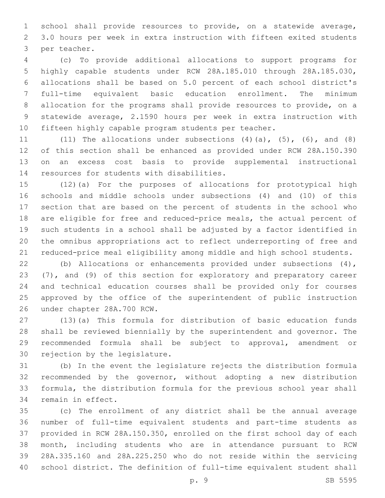school shall provide resources to provide, on a statewide average, 3.0 hours per week in extra instruction with fifteen exited students 3 per teacher.

 (c) To provide additional allocations to support programs for highly capable students under RCW 28A.185.010 through 28A.185.030, allocations shall be based on 5.0 percent of each school district's full-time equivalent basic education enrollment. The minimum allocation for the programs shall provide resources to provide, on a statewide average, 2.1590 hours per week in extra instruction with fifteen highly capable program students per teacher.

11 (11) The allocations under subsections  $(4)$   $(a)$ ,  $(5)$ ,  $(6)$ , and  $(8)$  of this section shall be enhanced as provided under RCW 28A.150.390 on an excess cost basis to provide supplemental instructional 14 resources for students with disabilities.

 (12)(a) For the purposes of allocations for prototypical high schools and middle schools under subsections (4) and (10) of this section that are based on the percent of students in the school who are eligible for free and reduced-price meals, the actual percent of such students in a school shall be adjusted by a factor identified in the omnibus appropriations act to reflect underreporting of free and reduced-price meal eligibility among middle and high school students.

 (b) Allocations or enhancements provided under subsections (4), (7), and (9) of this section for exploratory and preparatory career and technical education courses shall be provided only for courses approved by the office of the superintendent of public instruction 26 under chapter 28A.700 RCW.

 (13)(a) This formula for distribution of basic education funds shall be reviewed biennially by the superintendent and governor. The recommended formula shall be subject to approval, amendment or 30 rejection by the legislature.

 (b) In the event the legislature rejects the distribution formula recommended by the governor, without adopting a new distribution formula, the distribution formula for the previous school year shall 34 remain in effect.

 (c) The enrollment of any district shall be the annual average number of full-time equivalent students and part-time students as provided in RCW 28A.150.350, enrolled on the first school day of each month, including students who are in attendance pursuant to RCW 28A.335.160 and 28A.225.250 who do not reside within the servicing school district. The definition of full-time equivalent student shall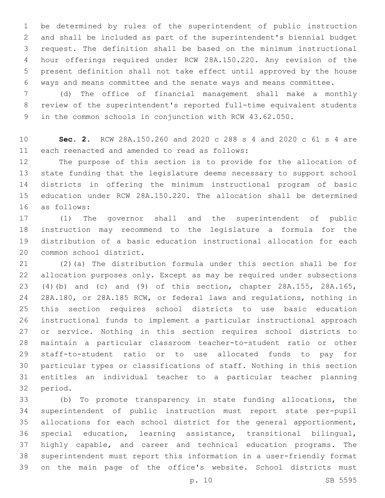be determined by rules of the superintendent of public instruction and shall be included as part of the superintendent's biennial budget request. The definition shall be based on the minimum instructional hour offerings required under RCW 28A.150.220. Any revision of the present definition shall not take effect until approved by the house ways and means committee and the senate ways and means committee.

 (d) The office of financial management shall make a monthly review of the superintendent's reported full-time equivalent students in the common schools in conjunction with RCW 43.62.050.

 **Sec. 2.** RCW 28A.150.260 and 2020 c 288 s 4 and 2020 c 61 s 4 are 11 each reenacted and amended to read as follows:

 The purpose of this section is to provide for the allocation of state funding that the legislature deems necessary to support school districts in offering the minimum instructional program of basic education under RCW 28A.150.220. The allocation shall be determined as follows:16

 (1) The governor shall and the superintendent of public instruction may recommend to the legislature a formula for the distribution of a basic education instructional allocation for each 20 common school district.

 (2)(a) The distribution formula under this section shall be for allocation purposes only. Except as may be required under subsections (4)(b) and (c) and (9) of this section, chapter 28A.155, 28A.165, 28A.180, or 28A.185 RCW, or federal laws and regulations, nothing in this section requires school districts to use basic education instructional funds to implement a particular instructional approach or service. Nothing in this section requires school districts to maintain a particular classroom teacher-to-student ratio or other staff-to-student ratio or to use allocated funds to pay for particular types or classifications of staff. Nothing in this section entitles an individual teacher to a particular teacher planning 32 period.

 (b) To promote transparency in state funding allocations, the superintendent of public instruction must report state per-pupil allocations for each school district for the general apportionment, special education, learning assistance, transitional bilingual, highly capable, and career and technical education programs. The superintendent must report this information in a user-friendly format on the main page of the office's website. School districts must

p. 10 SB 5595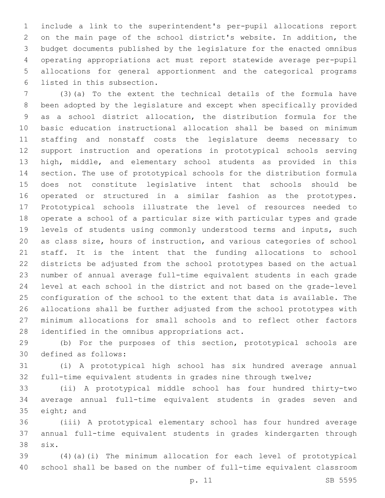include a link to the superintendent's per-pupil allocations report on the main page of the school district's website. In addition, the budget documents published by the legislature for the enacted omnibus operating appropriations act must report statewide average per-pupil allocations for general apportionment and the categorical programs 6 listed in this subsection.

 (3)(a) To the extent the technical details of the formula have been adopted by the legislature and except when specifically provided as a school district allocation, the distribution formula for the basic education instructional allocation shall be based on minimum staffing and nonstaff costs the legislature deems necessary to support instruction and operations in prototypical schools serving high, middle, and elementary school students as provided in this section. The use of prototypical schools for the distribution formula does not constitute legislative intent that schools should be operated or structured in a similar fashion as the prototypes. Prototypical schools illustrate the level of resources needed to operate a school of a particular size with particular types and grade levels of students using commonly understood terms and inputs, such as class size, hours of instruction, and various categories of school staff. It is the intent that the funding allocations to school districts be adjusted from the school prototypes based on the actual number of annual average full-time equivalent students in each grade level at each school in the district and not based on the grade-level configuration of the school to the extent that data is available. The allocations shall be further adjusted from the school prototypes with minimum allocations for small schools and to reflect other factors 28 identified in the omnibus appropriations act.

 (b) For the purposes of this section, prototypical schools are 30 defined as follows:

 (i) A prototypical high school has six hundred average annual full-time equivalent students in grades nine through twelve;

 (ii) A prototypical middle school has four hundred thirty-two average annual full-time equivalent students in grades seven and 35 eight; and

 (iii) A prototypical elementary school has four hundred average annual full-time equivalent students in grades kindergarten through six.38

 (4)(a)(i) The minimum allocation for each level of prototypical school shall be based on the number of full-time equivalent classroom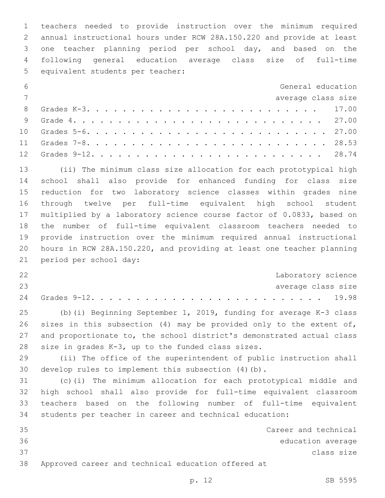teachers needed to provide instruction over the minimum required annual instructional hours under RCW 28A.150.220 and provide at least one teacher planning period per school day, and based on the following general education average class size of full-time 5 equivalent students per teacher:

| 6              | General education  |  |
|----------------|--------------------|--|
| $\overline{7}$ | average class size |  |
|                |                    |  |
|                |                    |  |
|                |                    |  |
|                |                    |  |
|                |                    |  |

 (ii) The minimum class size allocation for each prototypical high school shall also provide for enhanced funding for class size reduction for two laboratory science classes within grades nine through twelve per full-time equivalent high school student multiplied by a laboratory science course factor of 0.0833, based on the number of full-time equivalent classroom teachers needed to provide instruction over the minimum required annual instructional hours in RCW 28A.150.220, and providing at least one teacher planning 21 period per school day:

| 22 |  |  |  |  |  |  |  |  |  |  |  |  |  | Laboratory science |  |
|----|--|--|--|--|--|--|--|--|--|--|--|--|--|--------------------|--|
| 23 |  |  |  |  |  |  |  |  |  |  |  |  |  | average class size |  |
|    |  |  |  |  |  |  |  |  |  |  |  |  |  |                    |  |

 (b)(i) Beginning September 1, 2019, funding for average K-3 class 26 sizes in this subsection (4) may be provided only to the extent of, and proportionate to, the school district's demonstrated actual class 28 size in grades  $K-3$ , up to the funded class sizes.

 (ii) The office of the superintendent of public instruction shall develop rules to implement this subsection (4)(b).

 (c)(i) The minimum allocation for each prototypical middle and high school shall also provide for full-time equivalent classroom teachers based on the following number of full-time equivalent students per teacher in career and technical education:

 Career and technical education average class size Approved career and technical education offered at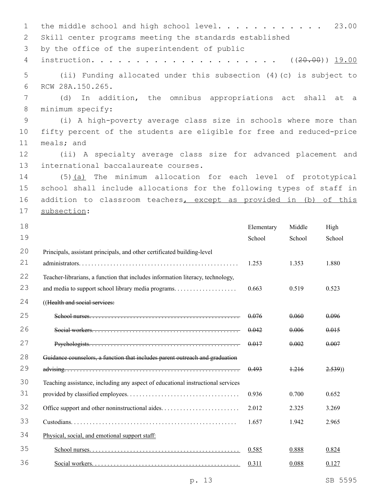1 the middle school and high school level............ 23.00 2 Skill center programs meeting the standards established 3 by the office of the superintendent of public 4 instruction. . . . . . . . . . . . . . . . . . . . . ((20.00)) 19.00 5 (ii) Funding allocated under this subsection (4)(c) is subject to 6 RCW 28A.150.265. 7 (d) In addition, the omnibus appropriations act shall at a 8 minimum specify: 9 (i) A high-poverty average class size in schools where more than 10 fifty percent of the students are eligible for free and reduced-price 11 meals; and 12 (ii) A specialty average class size for advanced placement and 13 international baccalaureate courses. 14 (5)(a) The minimum allocation for each level of prototypical 15 school shall include allocations for the following types of staff in 16 addition to classroom teachers, except as provided in (b) of this 17 subsection: 18 19 Elementary School Middle School High School 20 21 Principals, assistant principals, and other certificated building-level administrators. . . . . . . . . . . . . . . . . . . . . . . . . . . . . . . . . . . . . . . . . . . . . . . . . . . 1.253 1.353 1.880 22 23 Teacher-librarians, a function that includes information literacy, technology, and media to support school library media programs. . . . . . . . . . . . . . . . . . . . 0.663 0.519 0.523 24 (Health and social services: 25 School nurses. . . . . . . . . . . . . . . . . . . . . . . . . . . . . . . . . . . . . . . . . . . . . . . . 0.076 0.060 0.096 26 Social workers. . . . . . . . . . . . . . . . . . . . . . . . . . . . . . . . . . . . . . . . . . . . . . . 0.042 0.006 0.015 27 Psychologists. . . . . . . . . . . . . . . . . . . . . . . . . . . . . . . . . . . . . . . . . . . . . . . . 0.017 0.002 0.007 28 29 Guidance counselors, a function that includes parent outreach and graduation advising. . . . . . . . . . . . . . . . . . . . . . . . . . . . . . . . . . . . . . . . . . . . . . . . . . . . . . . . 0.493 1.216 2.539)) 30 31 Teaching assistance, including any aspect of educational instructional services provided by classified employees. . . . . . . . . . . . . . . . . . . . . . . . . . . . . . . . . . . . 0.936 0.700 0.652 32 Office support and other noninstructional aides. . . . . . . . . . . . . . . . . . . . . . . . . 2.012 2.325 3.269 33 Custodians. . . . . . . . . . . . . . . . . . . . . . . . . . . . . . . . . . . . . . . . . . . . . . . . . . . . . 1.657 1.942 2.965 34 Physical, social, and emotional support staff: 35 School nurses. . . . . . . . . . . . . . . . . . . . . . . . . . . . . . . . . . . . . . . . . . . . . . . . 0.585 0.888 0.824 36 Social workers. . . . . . . . . . . . . . . . . . . . . . . . . . . . . . . . . . . . . . . . . . . . . . . 0.311 0.088 0.127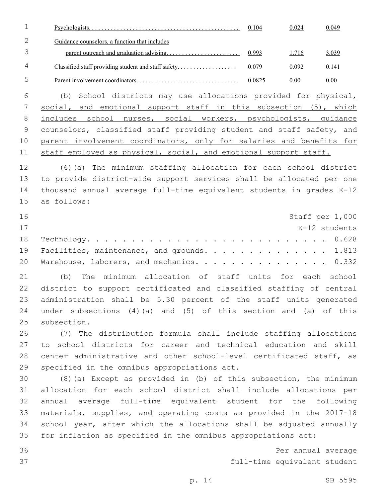|                |                                               | 0.104  | 0.024 | 0.049 |
|----------------|-----------------------------------------------|--------|-------|-------|
|                | Guidance counselors, a function that includes |        |       |       |
|                |                                               |        | 1.716 | 3.039 |
| $\overline{4}$ |                                               | 0.079  | 0.092 | 0.141 |
| h.             |                                               | 0.0825 | 0.00  | 0.00  |

 (b) School districts may use allocations provided for physical, social, and emotional support staff in this subsection (5), which includes school nurses, social workers, psychologists, guidance counselors, classified staff providing student and staff safety, and parent involvement coordinators, only for salaries and benefits for 11 staff employed as physical, social, and emotional support staff.

 (6)(a) The minimum staffing allocation for each school district to provide district-wide support services shall be allocated per one thousand annual average full-time equivalent students in grades K-12 as follows:15

| 16 |                                                |  | Staff per 1,000 |
|----|------------------------------------------------|--|-----------------|
| 17 |                                                |  | K-12 students   |
|    |                                                |  |                 |
|    | 19 Facilities, maintenance, and grounds. 1.813 |  |                 |
|    | 20 Warehouse, laborers, and mechanics. 0.332   |  |                 |

 (b) The minimum allocation of staff units for each school district to support certificated and classified staffing of central administration shall be 5.30 percent of the staff units generated under subsections (4)(a) and (5) of this section and (a) of this 25 subsection.

 (7) The distribution formula shall include staffing allocations to school districts for career and technical education and skill center administrative and other school-level certificated staff, as 29 specified in the omnibus appropriations act.

 (8)(a) Except as provided in (b) of this subsection, the minimum allocation for each school district shall include allocations per annual average full-time equivalent student for the following materials, supplies, and operating costs as provided in the 2017-18 school year, after which the allocations shall be adjusted annually for inflation as specified in the omnibus appropriations act:

 Per annual average full-time equivalent student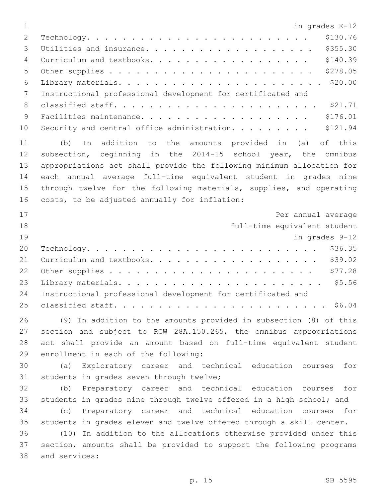in grades K-12 Technology. . . . . . . . . . . . . . . . . . . . . . . . . \$130.76 Utilities and insurance. . . . . . . . . . . . . . . . . . . \$355.30 4 Curriculum and textbooks. . . . . . . . . . . . . . . . . . \$140.39 Other supplies . . . . . . . . . . . . . . . . . . . . . . . \$278.05 Library materials. . . . . . . . . . . . . . . . . . . . . . . \$20.00 Instructional professional development for certificated and classified staff. . . . . . . . . . . . . . . . . . . . . . . \$21.71 Facilities maintenance. . . . . . . . . . . . . . . . . . . \$176.01 10 Security and central office administration. . . . . . . . \$121.94 (b) In addition to the amounts provided in (a) of this subsection, beginning in the 2014-15 school year, the omnibus appropriations act shall provide the following minimum allocation for each annual average full-time equivalent student in grades nine through twelve for the following materials, supplies, and operating 16 costs, to be adjusted annually for inflation: **Per annual average**  full-time equivalent student in grades 9-12 Technology. . . . . . . . . . . . . . . . . . . . . . . . . . \$36.35 21 Curriculum and textbooks. . . . . . . . . . . . . . . . . . \$39.02 Other supplies . . . . . . . . . . . . . . . . . . . . . . . \$77.28 Library materials. . . . . . . . . . . . . . . . . . . . . . . \$5.56 Instructional professional development for certificated and classified staff. . . . . . . . . . . . . . . . . . . . . . . . \$6.04 (9) In addition to the amounts provided in subsection (8) of this section and subject to RCW 28A.150.265, the omnibus appropriations act shall provide an amount based on full-time equivalent student 29 enrollment in each of the following: (a) Exploratory career and technical education courses for 31 students in grades seven through twelve; (b) Preparatory career and technical education courses for students in grades nine through twelve offered in a high school; and (c) Preparatory career and technical education courses for students in grades eleven and twelve offered through a skill center. (10) In addition to the allocations otherwise provided under this section, amounts shall be provided to support the following programs 38 and services: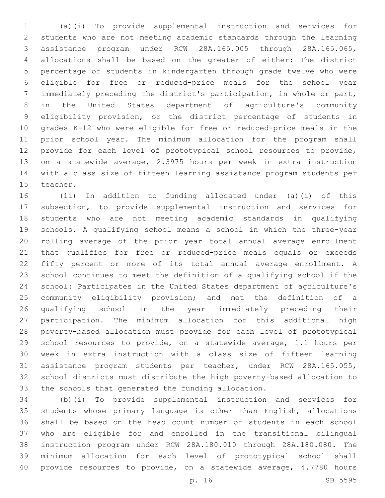(a)(i) To provide supplemental instruction and services for students who are not meeting academic standards through the learning assistance program under RCW 28A.165.005 through 28A.165.065, allocations shall be based on the greater of either: The district percentage of students in kindergarten through grade twelve who were eligible for free or reduced-price meals for the school year immediately preceding the district's participation, in whole or part, in the United States department of agriculture's community eligibility provision, or the district percentage of students in grades K-12 who were eligible for free or reduced-price meals in the prior school year. The minimum allocation for the program shall provide for each level of prototypical school resources to provide, on a statewide average, 2.3975 hours per week in extra instruction with a class size of fifteen learning assistance program students per 15 teacher.

 (ii) In addition to funding allocated under (a)(i) of this subsection, to provide supplemental instruction and services for students who are not meeting academic standards in qualifying schools. A qualifying school means a school in which the three-year rolling average of the prior year total annual average enrollment that qualifies for free or reduced-price meals equals or exceeds fifty percent or more of its total annual average enrollment. A school continues to meet the definition of a qualifying school if the school: Participates in the United States department of agriculture's community eligibility provision; and met the definition of a qualifying school in the year immediately preceding their participation. The minimum allocation for this additional high poverty-based allocation must provide for each level of prototypical school resources to provide, on a statewide average, 1.1 hours per week in extra instruction with a class size of fifteen learning assistance program students per teacher, under RCW 28A.165.055, school districts must distribute the high poverty-based allocation to the schools that generated the funding allocation.

 (b)(i) To provide supplemental instruction and services for students whose primary language is other than English, allocations shall be based on the head count number of students in each school who are eligible for and enrolled in the transitional bilingual instruction program under RCW 28A.180.010 through 28A.180.080. The minimum allocation for each level of prototypical school shall provide resources to provide, on a statewide average, 4.7780 hours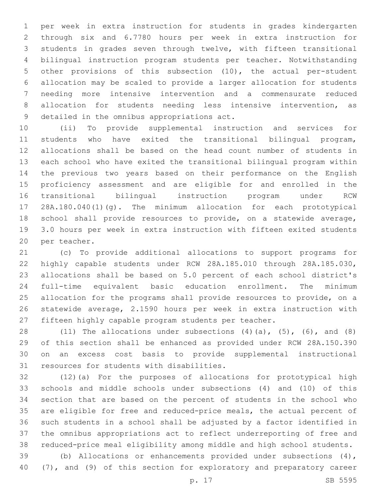per week in extra instruction for students in grades kindergarten through six and 6.7780 hours per week in extra instruction for students in grades seven through twelve, with fifteen transitional bilingual instruction program students per teacher. Notwithstanding other provisions of this subsection (10), the actual per-student allocation may be scaled to provide a larger allocation for students needing more intensive intervention and a commensurate reduced allocation for students needing less intensive intervention, as 9 detailed in the omnibus appropriations act.

 (ii) To provide supplemental instruction and services for students who have exited the transitional bilingual program, allocations shall be based on the head count number of students in each school who have exited the transitional bilingual program within the previous two years based on their performance on the English proficiency assessment and are eligible for and enrolled in the transitional bilingual instruction program under RCW 28A.180.040(1)(g). The minimum allocation for each prototypical school shall provide resources to provide, on a statewide average, 3.0 hours per week in extra instruction with fifteen exited students 20 per teacher.

 (c) To provide additional allocations to support programs for highly capable students under RCW 28A.185.010 through 28A.185.030, allocations shall be based on 5.0 percent of each school district's full-time equivalent basic education enrollment. The minimum allocation for the programs shall provide resources to provide, on a statewide average, 2.1590 hours per week in extra instruction with fifteen highly capable program students per teacher.

 $(11)$  The allocations under subsections  $(4)$   $(a)$ ,  $(5)$ ,  $(6)$ , and  $(8)$  of this section shall be enhanced as provided under RCW 28A.150.390 on an excess cost basis to provide supplemental instructional 31 resources for students with disabilities.

 (12)(a) For the purposes of allocations for prototypical high schools and middle schools under subsections (4) and (10) of this section that are based on the percent of students in the school who are eligible for free and reduced-price meals, the actual percent of such students in a school shall be adjusted by a factor identified in the omnibus appropriations act to reflect underreporting of free and reduced-price meal eligibility among middle and high school students.

 (b) Allocations or enhancements provided under subsections (4), (7), and (9) of this section for exploratory and preparatory career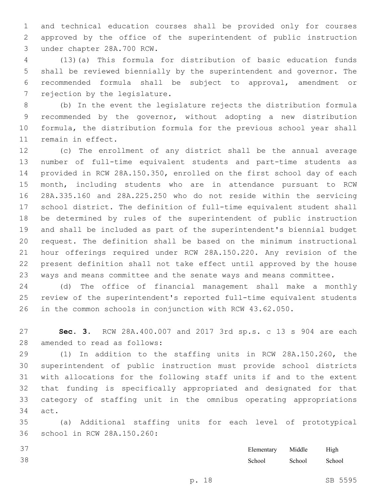and technical education courses shall be provided only for courses approved by the office of the superintendent of public instruction under chapter 28A.700 RCW.3

 (13)(a) This formula for distribution of basic education funds shall be reviewed biennially by the superintendent and governor. The recommended formula shall be subject to approval, amendment or 7 rejection by the legislature.

 (b) In the event the legislature rejects the distribution formula recommended by the governor, without adopting a new distribution formula, the distribution formula for the previous school year shall 11 remain in effect.

 (c) The enrollment of any district shall be the annual average number of full-time equivalent students and part-time students as provided in RCW 28A.150.350, enrolled on the first school day of each month, including students who are in attendance pursuant to RCW 28A.335.160 and 28A.225.250 who do not reside within the servicing school district. The definition of full-time equivalent student shall be determined by rules of the superintendent of public instruction and shall be included as part of the superintendent's biennial budget request. The definition shall be based on the minimum instructional hour offerings required under RCW 28A.150.220. Any revision of the present definition shall not take effect until approved by the house ways and means committee and the senate ways and means committee.

 (d) The office of financial management shall make a monthly review of the superintendent's reported full-time equivalent students in the common schools in conjunction with RCW 43.62.050.

 **Sec. 3.** RCW 28A.400.007 and 2017 3rd sp.s. c 13 s 904 are each 28 amended to read as follows:

 (1) In addition to the staffing units in RCW 28A.150.260, the superintendent of public instruction must provide school districts with allocations for the following staff units if and to the extent that funding is specifically appropriated and designated for that category of staffing unit in the omnibus operating appropriations 34 act.

 (a) Additional staffing units for each level of prototypical 36 school in RCW 28A.150.260:

| Elementary | Middle | High   |
|------------|--------|--------|
| School     | School | School |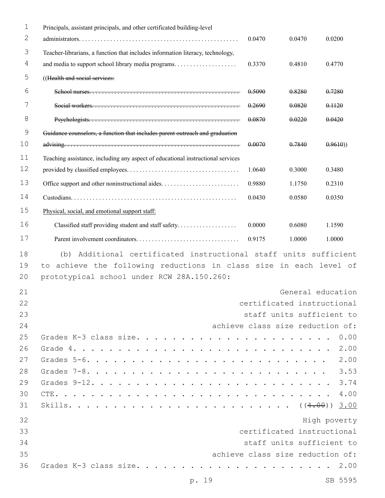| 1           | Principals, assistant principals, and other certificated building-level         |                                  |        |                   |
|-------------|---------------------------------------------------------------------------------|----------------------------------|--------|-------------------|
| 2           |                                                                                 | 0.0470                           | 0.0470 | 0.0200            |
| 3           | Teacher-librarians, a function that includes information literacy, technology,  |                                  |        |                   |
| 4           |                                                                                 | 0.3370                           | 0.4810 | 0.4770            |
| 5           | ((Health and social services:                                                   |                                  |        |                   |
| 6           |                                                                                 | 0.5090                           | 0.8280 | 0.7280            |
| 7           |                                                                                 | 0.2690                           | 0.0820 | 0.1120            |
| 8           |                                                                                 | 0.0870                           | 0.0220 | 0.0420            |
| $\mathsf 9$ | Guidance counselors, a function that includes parent outreach and graduation    |                                  |        |                   |
| 10          |                                                                                 | 0.0070                           | 0.7840 | 0.9610)           |
| 11          | Teaching assistance, including any aspect of educational instructional services |                                  |        |                   |
| 12          |                                                                                 | 1.0640                           | 0.3000 | 0.3480            |
| 13          |                                                                                 | 0.9880                           | 1.1750 | 0.2310            |
| 14          |                                                                                 | 0.0430                           | 0.0580 | 0.0350            |
| 15          | Physical, social, and emotional support staff:                                  |                                  |        |                   |
| 16          | Classified staff providing student and staff safety                             | 0.0000                           | 0.6080 | 1.1590            |
| 17          |                                                                                 | 0.9175                           | 1.0000 | 1.0000            |
| 18          | Additional certificated instructional staff units sufficient<br>(b)             |                                  |        |                   |
| 19          | achieve the following reductions in class size in each level of<br>to           |                                  |        |                   |
| 20          | prototypical school under RCW 28A.150.260:                                      |                                  |        |                   |
| 21          |                                                                                 |                                  |        | General education |
| 22          |                                                                                 | certificated instructional       |        |                   |
| 23          |                                                                                 | staff units sufficient to        |        |                   |
| 24          |                                                                                 | achieve class size reduction of: |        |                   |
| 25          |                                                                                 |                                  |        | 0.00              |
| 26          | Grade $4.$                                                                      |                                  |        | 2.00              |
| 27          |                                                                                 |                                  |        | 2.00              |
| 28          |                                                                                 |                                  |        | 3.53              |
| 29          |                                                                                 |                                  |        | 3.74              |
| 30          |                                                                                 |                                  |        |                   |
| 31          |                                                                                 |                                  |        |                   |
| 32          |                                                                                 |                                  |        | High poverty      |
| 33          |                                                                                 | certificated instructional       |        |                   |
| 34          |                                                                                 | staff units sufficient to        |        |                   |
| 35          |                                                                                 | achieve class size reduction of: |        |                   |
| 36          |                                                                                 |                                  |        |                   |